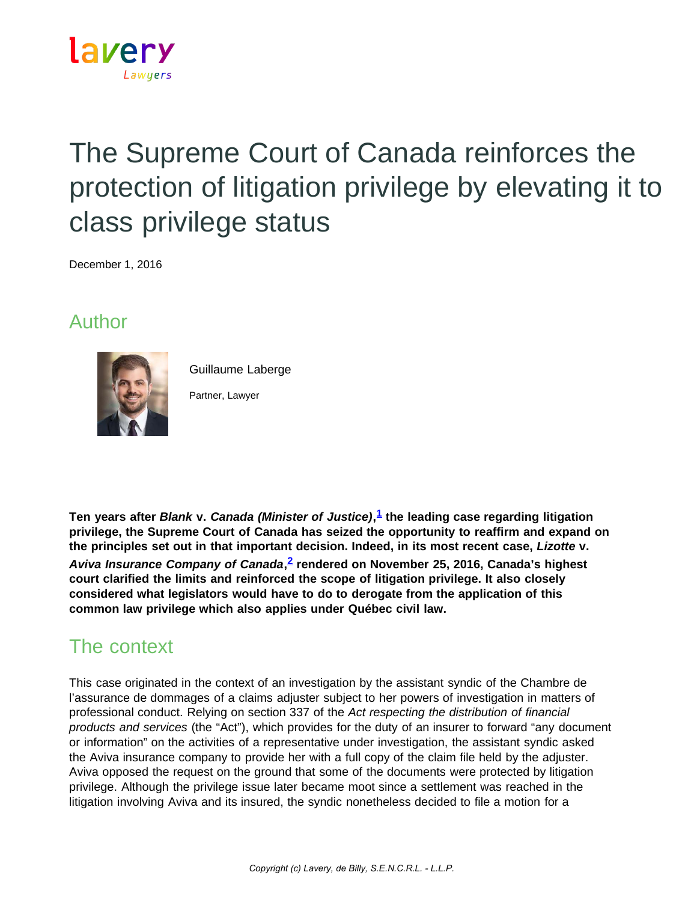

# The Supreme Court of Canada reinforces the protection of litigation privilege by elevating it to class privilege status

December 1, 2016

## Author



Guillaume Laberge

Partner, Lawyer

**Ten years after** *Blank* **v.** *Canada (Minister of Justice)***, [1](https://www.lavery.ca/en/publications/our-publications/2983-the-supreme-court-of-canada-reinforces-the-protection-of-litigation-privilege-by-elevating-it-to-class-privilege-status.html#01) the leading case regarding litigation privilege, the Supreme Court of Canada has seized the opportunity to reaffirm and expand on the principles set out in that important decision. Indeed, in its most recent case,** *Lizotte* **v.** *Aviva Insurance Company of Canada***, [2](https://www.lavery.ca/en/publications/our-publications/2983-the-supreme-court-of-canada-reinforces-the-protection-of-litigation-privilege-by-elevating-it-to-class-privilege-status.html#02) rendered on November 25, 2016, Canada's highest court clarified the limits and reinforced the scope of litigation privilege. It also closely considered what legislators would have to do to derogate from the application of this common law privilege which also applies under Québec civil law.**

## The context

This case originated in the context of an investigation by the assistant syndic of the Chambre de l'assurance de dommages of a claims adjuster subject to her powers of investigation in matters of professional conduct. Relying on section 337 of the *Act respecting the distribution of financial products and services* (the "Act"), which provides for the duty of an insurer to forward "any document or information" on the activities of a representative under investigation, the assistant syndic asked the Aviva insurance company to provide her with a full copy of the claim file held by the adjuster. Aviva opposed the request on the ground that some of the documents were protected by litigation privilege. Although the privilege issue later became moot since a settlement was reached in the litigation involving Aviva and its insured, the syndic nonetheless decided to file a motion for a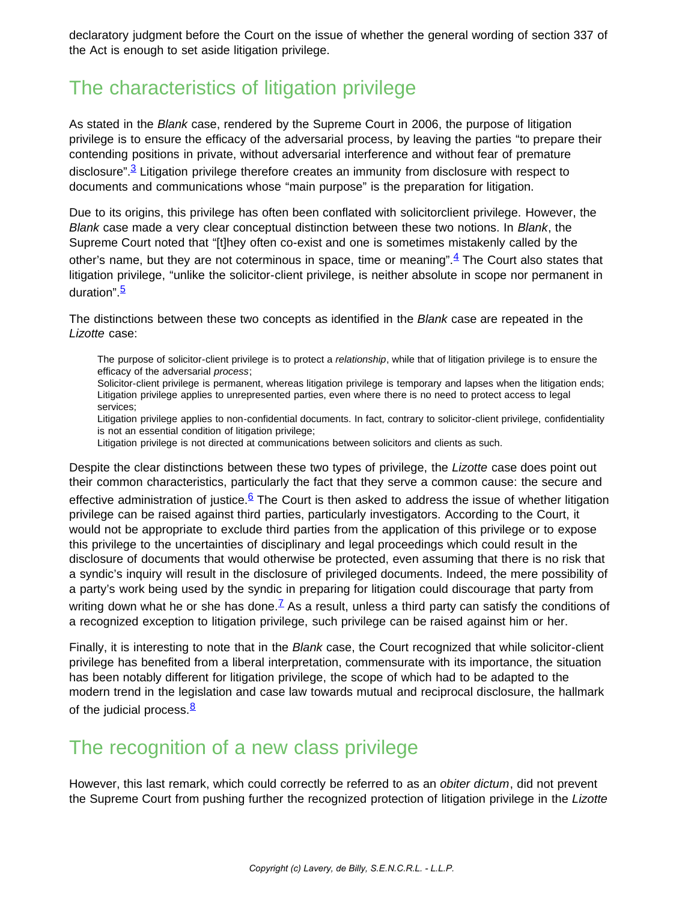declaratory judgment before the Court on the issue of whether the general wording of section 337 of the Act is enough to set aside litigation privilege.

## The characteristics of litigation privilege

As stated in the *Blank* case, rendered by the Supreme Court in 2006, the purpose of litigation privilege is to ensure the efficacy of the adversarial process, by leaving the parties "to prepare their contending positions in private, without adversarial interference and without fear of premature disclosure".<sup>3</sup> Litigation privilege therefore creates an immunity from disclosure with respect to documents and communications whose "main purpose" is the preparation for litigation.

Due to its origins, this privilege has often been conflated with solicitorclient privilege. However, the *Blank* case made a very clear conceptual distinction between these two notions. In *Blank*, the Supreme Court noted that "[t]hey often co-exist and one is sometimes mistakenly called by the other's name, but they are not coterminous in space, time or meaning". $4$  The Court also states that litigation privilege, "unlike the solicitor-client privilege, is neither absolute in scope nor permanent in duration". [5](https://www.lavery.ca/en/publications/our-publications/2983-the-supreme-court-of-canada-reinforces-the-protection-of-litigation-privilege-by-elevating-it-to-class-privilege-status.html#05)

The distinctions between these two concepts as identified in the *Blank* case are repeated in the *Lizotte* case:

The purpose of solicitor-client privilege is to protect a *relationship*, while that of litigation privilege is to ensure the efficacy of the adversarial *process*;

Solicitor-client privilege is permanent, whereas litigation privilege is temporary and lapses when the litigation ends; Litigation privilege applies to unrepresented parties, even where there is no need to protect access to legal services;

Litigation privilege applies to non-confidential documents. In fact, contrary to solicitor-client privilege, confidentiality is not an essential condition of litigation privilege;

Litigation privilege is not directed at communications between solicitors and clients as such.

Despite the clear distinctions between these two types of privilege, the *Lizotte* case does point out their common characteristics, particularly the fact that they serve a common cause: the secure and effective administration of justice.<sup>6</sup> The Court is then asked to address the issue of whether litigation privilege can be raised against third parties, particularly investigators. According to the Court, it would not be appropriate to exclude third parties from the application of this privilege or to expose this privilege to the uncertainties of disciplinary and legal proceedings which could result in the disclosure of documents that would otherwise be protected, even assuming that there is no risk that a syndic's inquiry will result in the disclosure of privileged documents. Indeed, the mere possibility of a party's work being used by the syndic in preparing for litigation could discourage that party from writing down what he or she has done.<sup> $Z$ </sup> As a result, unless a third party can satisfy the conditions of a recognized exception to litigation privilege, such privilege can be raised against him or her.

Finally, it is interesting to note that in the *Blank* case, the Court recognized that while solicitor-client privilege has benefited from a liberal interpretation, commensurate with its importance, the situation has been notably different for litigation privilege, the scope of which had to be adapted to the modern trend in the legislation and case law towards mutual and reciprocal disclosure, the hallmark of the judicial process. $\frac{8}{3}$  $\frac{8}{3}$  $\frac{8}{3}$ 

### The recognition of a new class privilege

However, this last remark, which could correctly be referred to as an *obiter dictum*, did not prevent the Supreme Court from pushing further the recognized protection of litigation privilege in the *Lizotte*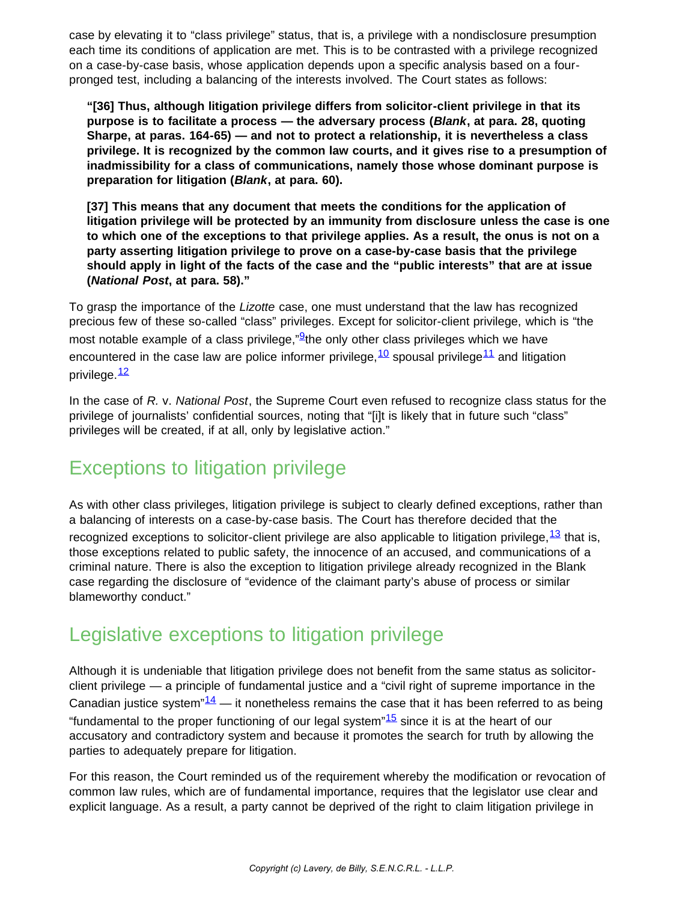case by elevating it to "class privilege" status, that is, a privilege with a nondisclosure presumption each time its conditions of application are met. This is to be contrasted with a privilege recognized on a case-by-case basis, whose application depends upon a specific analysis based on a fourpronged test, including a balancing of the interests involved. The Court states as follows:

**"[36] Thus, although litigation privilege differs from solicitor-client privilege in that its purpose is to facilitate a process — the adversary process (***Blank***, at para. 28, quoting Sharpe, at paras. 164-65) — and not to protect a relationship, it is nevertheless a class privilege. It is recognized by the common law courts, and it gives rise to a presumption of inadmissibility for a class of communications, namely those whose dominant purpose is preparation for litigation (***Blank***, at para. 60).**

**[37] This means that any document that meets the conditions for the application of litigation privilege will be protected by an immunity from disclosure unless the case is one to which one of the exceptions to that privilege applies. As a result, the onus is not on a party asserting litigation privilege to prove on a case-by-case basis that the privilege should apply in light of the facts of the case and the "public interests" that are at issue (***National Post***, at para. 58)."**

To grasp the importance of the *Lizotte* case, one must understand that the law has recognized precious few of these so-called "class" privileges. Except for solicitor-client privilege, which is "the most notable example of a class privilege," $9$ the only other class privileges which we have encountered in the case law are police informer privilege,  $^{10}$  $^{10}$  $^{10}$  spousal privilege  $^{11}$  and litigation privilege.<sup>[12](https://www.lavery.ca/en/publications/our-publications/2983-the-supreme-court-of-canada-reinforces-the-protection-of-litigation-privilege-by-elevating-it-to-class-privilege-status.html#12)</sup>

In the case of *R.* v. *National Post*, the Supreme Court even refused to recognize class status for the privilege of journalists' confidential sources, noting that "[i]t is likely that in future such "class" privileges will be created, if at all, only by legislative action."

## Exceptions to litigation privilege

As with other class privileges, litigation privilege is subject to clearly defined exceptions, rather than a balancing of interests on a case-by-case basis. The Court has therefore decided that the recognized exceptions to solicitor-client privilege are also applicable to litigation privilege,  $^{13}$  that is, those exceptions related to public safety, the innocence of an accused, and communications of a criminal nature. There is also the exception to litigation privilege already recognized in the Blank case regarding the disclosure of "evidence of the claimant party's abuse of process or similar blameworthy conduct."

## Legislative exceptions to litigation privilege

Although it is undeniable that litigation privilege does not benefit from the same status as solicitorclient privilege — a principle of fundamental justice and a "civil right of supreme importance in the Canadian justice system" $\frac{14}{1}$  — it nonetheless remains the case that it has been referred to as being "fundamental to the proper functioning of our legal system" $15$  since it is at the heart of our accusatory and contradictory system and because it promotes the search for truth by allowing the parties to adequately prepare for litigation.

For this reason, the Court reminded us of the requirement whereby the modification or revocation of common law rules, which are of fundamental importance, requires that the legislator use clear and explicit language. As a result, a party cannot be deprived of the right to claim litigation privilege in